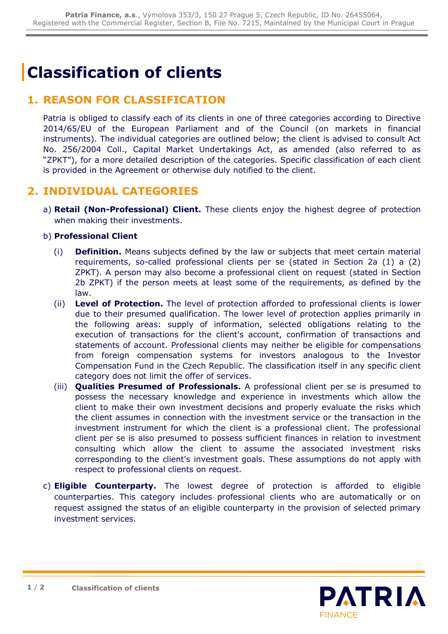# **Classification of clients**

### **1. REASON FOR CLASSIFICATION**

Patria is obliged to classify each of its clients in one of three categories according to Directive 2014/65/EU of the European Parliament and of the Council (on markets in financial instruments). The individual categories are outlined below; the client is advised to consult Act No. 256/2004 Coll., Capital Market Undertakings Act, as amended (also referred to as "ZPKT"), for a more detailed description of the categories. Specific classification of each client is provided in the Agreement or otherwise duly notified to the client.

#### **2. INDIVIDUAL CATEGORIES**

a) **Retail (Non-Professional) Client.** These clients enjoy the highest degree of protection when making their investments.

#### b) **Professional Client**

- (i) **Definition.** Means subjects defined by the law or subjects that meet certain material requirements, so-called professional clients per se (stated in Section 2a (1) a (2) ZPKT). A person may also become a professional client on request (stated in Section 2b ZPKT) if the person meets at least some of the requirements, as defined by the law.
- (ii) **Level of Protection.** The level of protection afforded to professional clients is lower due to their presumed qualification. The lower level of protection applies primarily in the following areas: supply of information, selected obligations relating to the execution of transactions for the client's account, confirmation of transactions and statements of account. Professional clients may neither be eligible for compensations from foreign compensation systems for investors analogous to the Investor Compensation Fund in the Czech Republic. The classification itself in any specific client category does not limit the offer of services.
- (iii) **Qualities Presumed of Professionals.** A professional client per se is presumed to possess the necessary knowledge and experience in investments which allow the client to make their own investment decisions and properly evaluate the risks which the client assumes in connection with the investment service or the transaction in the investment instrument for which the client is a professional client. The professional client per se is also presumed to possess sufficient finances in relation to investment consulting which allow the client to assume the associated investment risks corresponding to the client's investment goals. These assumptions do not apply with respect to professional clients on request.
- c) **Eligible Counterparty.** The lowest degree of protection is afforded to eligible counterparties. This category includes professional clients who are automatically or on request assigned the status of an eligible counterparty in the provision of selected primary investment services.